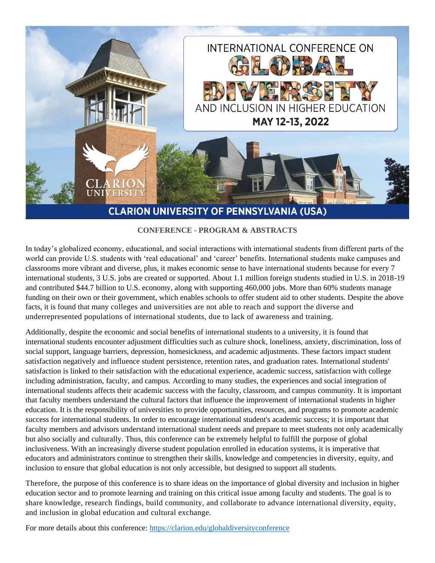

**CONFERENCE - PROGRAM & ABSTRACTS**

In today's globalized economy, educational, and social interactions with international students from different parts of the world can provide U.S. students with 'real educational' and 'career' benefits. International students make campuses and classrooms more vibrant and diverse, plus, it makes economic sense to have international students because for every 7 international students, 3 U.S. jobs are created or supported. About 1.1 million foreign students studied in U.S. in 2018-19 and contributed \$44.7 billion to U.S. economy, along with supporting 460,000 jobs. More than 60% students manage funding on their own or their government, which enables schools to offer student aid to other students. Despite the above facts, it is found that many colleges and universities are not able to reach and support the diverse and underrepresented populations of international students, due to lack of awareness and training.

Additionally, despite the economic and social benefits of international students to a university, it is found that international students encounter adjustment difficulties such as culture shock, loneliness, anxiety, discrimination, loss of social support, language barriers, depression, homesickness, and academic adjustments. These factors impact student satisfaction negatively and influence student persistence, retention rates, and graduation rates. International students' satisfaction is linked to their satisfaction with the educational experience, academic success, satisfaction with college including administration, faculty, and campus. According to many studies, the experiences and social integration of international students affects their academic success with the faculty, classroom, and campus community. It is important that faculty members understand the cultural factors that influence the improvement of international students in higher education. It is the responsibility of universities to provide opportunities, resources, and programs to promote academic success for international students. In order to encourage international student's academic success; it is important that faculty members and advisors understand international student needs and prepare to meet students not only academically but also socially and culturally. Thus, this conference can be extremely helpful to fulfill the purpose of global inclusiveness. With an increasingly diverse student population enrolled in education systems, it is imperative that educators and administrators continue to strengthen their skills, knowledge and competencies in diversity, equity, and inclusion to ensure that global education is not only accessible, but designed to support all students.

Therefore, the purpose of this conference is to share ideas on the importance of global diversity and inclusion in higher education sector and to promote learning and training on this critical issue among faculty and students. The goal is to share knowledge, research findings, build community, and collaborate to advance international diversity, equity, and inclusion in global education and cultural exchange.

For more details about this conference: https://clarion.edu/globaldiversityconference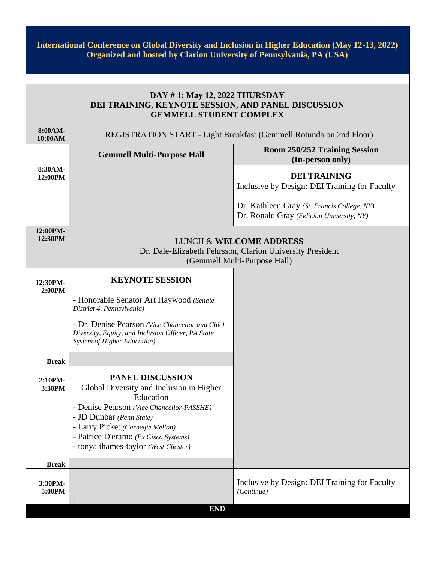**International Conference on Global Diversity and Inclusion in Higher Education (May 12-13, 2022) Organized and hosted by Clarion University of Pennsylvania, PA (USA)**

# **DAY # 1: May 12, 2022 THURSDAY DEI TRAINING, KEYNOTE SESSION, AND PANEL DISCUSSION GEMMELL STUDENT COMPLEX**

| 8:00AM-<br>10:00AM  | REGISTRATION START - Light Breakfast (Gemmell Rotunda on 2nd Floor)                                                                                                                                                                                                           |                                                                                                                                 |  |  |
|---------------------|-------------------------------------------------------------------------------------------------------------------------------------------------------------------------------------------------------------------------------------------------------------------------------|---------------------------------------------------------------------------------------------------------------------------------|--|--|
|                     | <b>Gemmell Multi-Purpose Hall</b>                                                                                                                                                                                                                                             | <b>Room 250/252 Training Session</b><br>(In-person only)                                                                        |  |  |
| 8:30AM-<br>12:00PM  |                                                                                                                                                                                                                                                                               | <b>DEI TRAINING</b><br>Inclusive by Design: DEI Training for Faculty<br>Dr. Kathleen Gray (St. Francis College, NY)             |  |  |
|                     |                                                                                                                                                                                                                                                                               | Dr. Ronald Gray (Felician University, NY)                                                                                       |  |  |
| 12:00PM-<br>12:30PM |                                                                                                                                                                                                                                                                               | <b>LUNCH &amp; WELCOME ADDRESS</b><br>Dr. Dale-Elizabeth Pehrsson, Clarion University President<br>(Gemmell Multi-Purpose Hall) |  |  |
| 12:30PM-<br>2:00PM  | <b>KEYNOTE SESSION</b>                                                                                                                                                                                                                                                        |                                                                                                                                 |  |  |
|                     | - Honorable Senator Art Haywood (Senate<br>District 4, Pennsylvania)                                                                                                                                                                                                          |                                                                                                                                 |  |  |
|                     | - Dr. Denise Pearson (Vice Chancellor and Chief<br>Diversity, Equity, and Inclusion Officer, PA State<br><b>System of Higher Education</b> )                                                                                                                                  |                                                                                                                                 |  |  |
| <b>Break</b>        |                                                                                                                                                                                                                                                                               |                                                                                                                                 |  |  |
| 2:10PM-<br>3:30PM   | <b>PANEL DISCUSSION</b><br>Global Diversity and Inclusion in Higher<br>Education<br>- Denise Pearson (Vice Chancellor-PASSHE)<br>- JD Dunbar (Penn State)<br>- Larry Picket (Carnegie Mellon)<br>- Patrice D'eramo (Ex Cisco Systems)<br>- tonya thames-taylor (West Chester) |                                                                                                                                 |  |  |
| <b>Break</b>        |                                                                                                                                                                                                                                                                               |                                                                                                                                 |  |  |
| 3:30PM-<br>5:00PM   |                                                                                                                                                                                                                                                                               | Inclusive by Design: DEI Training for Faculty<br>(Continue)                                                                     |  |  |
|                     | <b>END</b>                                                                                                                                                                                                                                                                    |                                                                                                                                 |  |  |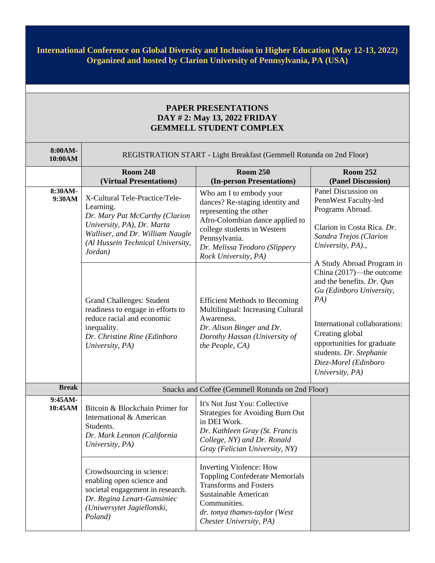## **International Conference on Global Diversity and Inclusion in Higher Education (May 12-13, 2022) Organized and hosted by Clarion University of Pennsylvania, PA (USA)**

## **PAPER PRESENTATIONS DAY # 2: May 13, 2022 FRIDAY GEMMELL STUDENT COMPLEX**

| 8:00AM-<br>10:00AM  | REGISTRATION START - Light Breakfast (Gemmell Rotunda on 2nd Floor)                                                                                                                             |                                                                                                                                                                                                                                  |                                                                                                                                                                                                                                                  |
|---------------------|-------------------------------------------------------------------------------------------------------------------------------------------------------------------------------------------------|----------------------------------------------------------------------------------------------------------------------------------------------------------------------------------------------------------------------------------|--------------------------------------------------------------------------------------------------------------------------------------------------------------------------------------------------------------------------------------------------|
|                     | <b>Room 248</b><br>(Virtual Presentations)                                                                                                                                                      | <b>Room 250</b><br>(In-person Presentations)                                                                                                                                                                                     | <b>Room 252</b><br>(Panel Discussion)                                                                                                                                                                                                            |
| $8:30AM-$<br>9:30AM | X-Cultural Tele-Practice/Tele-<br>Learning.<br>Dr. Mary Pat McCarthy (Clarion<br>University, PA), Dr. Marta<br>Walliser, and Dr. William Naugle<br>(Al Hussein Technical University,<br>Jordan) | Who am I to embody your<br>dances? Re-staging identity and<br>representing the other<br>Afro-Colombian dance applied to<br>college students in Western<br>Pennsylvania.<br>Dr. Melissa Teodoro (Slippery<br>Rock University, PA) | Panel Discussion on<br>PennWest Faculty-led<br>Programs Abroad.<br>Clarion in Costa Rica. Dr.<br>Sandra Trejos (Clarion<br>University, PA).,<br>A Study Abroad Program in                                                                        |
|                     | <b>Grand Challenges: Student</b><br>readiness to engage in efforts to<br>reduce racial and economic<br>inequality.<br>Dr. Christine Rine (Edinboro<br>University, PA)                           | <b>Efficient Methods to Becoming</b><br>Multilingual: Increasing Cultural<br>Awareness.<br>Dr. Alison Binger and Dr.<br>Dorothy Hassan (University of<br>the People, CA)                                                         | China (2017)—the outcome<br>and the benefits. Dr. Qun<br>Gu (Edinboro University,<br>PA)<br>International collaborations:<br>Creating global<br>opportunities for graduate<br>students. Dr. Stephanie<br>Diez-Morel (Edinboro<br>University, PA) |
| <b>Break</b>        | Snacks and Coffee (Gemmell Rotunda on 2nd Floor)                                                                                                                                                |                                                                                                                                                                                                                                  |                                                                                                                                                                                                                                                  |
| 9:45AM-<br>10:45AM  | Bitcoin & Blockchain Primer for<br>International & American<br>Students.<br>Dr. Mark Lennon (California<br>University, PA)                                                                      | It's Not Just You: Collective<br><b>Strategies for Avoiding Burn Out</b><br>in DEI Work.<br>Dr. Kathleen Gray (St. Francis<br>College, NY) and Dr. Ronald<br>Gray (Felician University, NY)                                      |                                                                                                                                                                                                                                                  |
|                     | Crowdsourcing in science:<br>enabling open science and<br>societal engagement in research.<br>Dr. Regina Lenart-Gansiniec<br>(Uniwersytet Jagiellonski,<br>Poland)                              | <b>Inverting Violence: How</b><br><b>Toppling Confederate Memorials</b><br><b>Transforms and Fosters</b><br><b>Sustainable American</b><br>Communities.<br>dr. tonya thames-taylor (West<br>Chester University, PA)              |                                                                                                                                                                                                                                                  |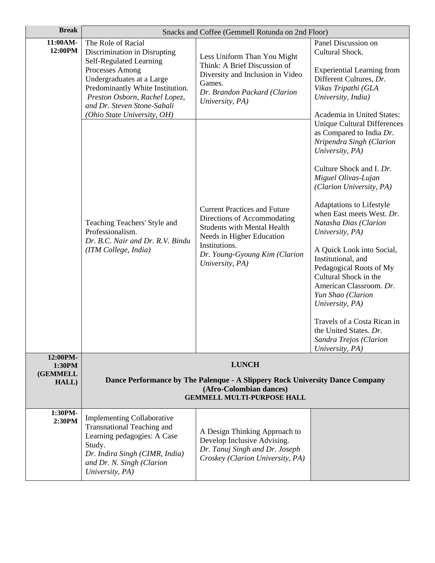| <b>Break</b>             | Snacks and Coffee (Gemmell Rotunda on 2nd Floor)                                                                                                                                                                                                                 |                                                                                                                                                                                                            |                                                                                                                                                                                                                                                                                                                                                                                                                                                                                                                                                                                   |
|--------------------------|------------------------------------------------------------------------------------------------------------------------------------------------------------------------------------------------------------------------------------------------------------------|------------------------------------------------------------------------------------------------------------------------------------------------------------------------------------------------------------|-----------------------------------------------------------------------------------------------------------------------------------------------------------------------------------------------------------------------------------------------------------------------------------------------------------------------------------------------------------------------------------------------------------------------------------------------------------------------------------------------------------------------------------------------------------------------------------|
| 11:00AM-<br>12:00PM      | The Role of Racial<br>Discrimination in Disrupting<br>Self-Regulated Learning<br>Processes Among<br>Undergraduates at a Large<br>Predominantly White Institution.<br>Preston Osborn, Rachel Lopez,<br>and Dr. Steven Stone-Sabali<br>(Ohio State University, OH) | Less Uniform Than You Might<br>Think: A Brief Discussion of<br>Diversity and Inclusion in Video<br>Games.<br>Dr. Brandon Packard (Clarion<br>University, PA)                                               | Panel Discussion on<br>Cultural Shock.<br><b>Experiential Learning from</b><br>Different Cultures, Dr.<br>Vikas Tripathi (GLA<br>University, India)<br>Academia in United States:                                                                                                                                                                                                                                                                                                                                                                                                 |
|                          | Teaching Teachers' Style and<br>Professionalism.<br>Dr. B.C. Nair and Dr. R.V. Bindu<br>(ITM College, India)                                                                                                                                                     | <b>Current Practices and Future</b><br>Directions of Accommodating<br><b>Students with Mental Health</b><br>Needs in Higher Education<br>Institutions.<br>Dr. Young-Gyoung Kim (Clarion<br>University, PA) | <b>Unique Cultural Differences</b><br>as Compared to India Dr.<br>Nripendra Singh (Clarion<br>University, PA)<br>Culture Shock and I. Dr.<br>Miguel Olivas-Lujan<br>(Clarion University, PA)<br>Adaptations to Lifestyle<br>when East meets West. Dr.<br>Natasha Dias (Clarion<br>University, PA)<br>A Quick Look into Social,<br>Institutional, and<br>Pedagogical Roots of My<br>Cultural Shock in the<br>American Classroom. Dr.<br>Yun Shao (Clarion<br>University, PA)<br>Travels of a Costa Rican in<br>the United States. Dr.<br>Sandra Trejos (Clarion<br>University, PA) |
| 12:00PM-<br>1:30PM       | <b>LUNCH</b>                                                                                                                                                                                                                                                     |                                                                                                                                                                                                            |                                                                                                                                                                                                                                                                                                                                                                                                                                                                                                                                                                                   |
| <b>(GEMMELL</b><br>HALL) |                                                                                                                                                                                                                                                                  | Dance Performance by The Palenque - A Slippery Rock University Dance Company<br>(Afro-Colombian dances)<br><b>GEMMELL MULTI-PURPOSE HALL</b>                                                               |                                                                                                                                                                                                                                                                                                                                                                                                                                                                                                                                                                                   |
| 1:30PM-<br>2:30PM        | <b>Implementing Collaborative</b><br><b>Transnational Teaching and</b><br>Learning pedagogies: A Case<br>Study.<br>Dr. Indira Singh (CIMR, India)<br>and Dr. N. Singh (Clarion<br>University, PA)                                                                | A Design Thinking Approach to<br>Develop Inclusive Advising.<br>Dr. Tanuj Singh and Dr. Joseph<br>Croskey (Clarion University, PA)                                                                         |                                                                                                                                                                                                                                                                                                                                                                                                                                                                                                                                                                                   |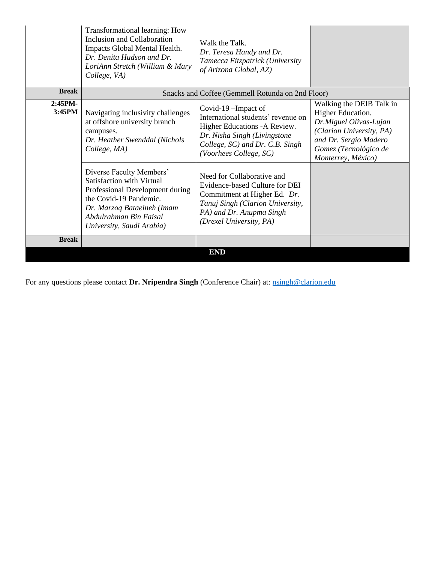|                   | Transformational learning: How<br>Inclusion and Collaboration<br>Impacts Global Mental Health.<br>Dr. Denita Hudson and Dr.<br>LoriAnn Stretch (William & Mary<br>College, VA)                          | Walk the Talk.<br>Dr. Teresa Handy and Dr.<br>Tamecca Fitzpatrick (University<br>of Arizona Global, AZ)                                                                                 |                                                                                                                                                                             |
|-------------------|---------------------------------------------------------------------------------------------------------------------------------------------------------------------------------------------------------|-----------------------------------------------------------------------------------------------------------------------------------------------------------------------------------------|-----------------------------------------------------------------------------------------------------------------------------------------------------------------------------|
| <b>Break</b>      | Snacks and Coffee (Gemmell Rotunda on 2nd Floor)                                                                                                                                                        |                                                                                                                                                                                         |                                                                                                                                                                             |
| 2:45PM-<br>3:45PM | Navigating inclusivity challenges<br>at offshore university branch<br>campuses.<br>Dr. Heather Swenddal (Nichols<br>College, MA)                                                                        | Covid-19-Impact of<br>International students' revenue on<br>Higher Educations - A Review.<br>Dr. Nisha Singh (Livingstone<br>College, SC) and Dr. C.B. Singh<br>(Voorhees College, SC)  | Walking the DEIB Talk in<br>Higher Education.<br>Dr.Miguel Olivas-Lujan<br>(Clarion University, PA)<br>and Dr. Sergio Madero<br>Gomez (Tecnológico de<br>Monterrey, México) |
|                   | Diverse Faculty Members'<br>Satisfaction with Virtual<br>Professional Development during<br>the Covid-19 Pandemic.<br>Dr. Marzog Bataeineh (Imam<br>Abdulrahman Bin Faisal<br>University, Saudi Arabia) | Need for Collaborative and<br>Evidence-based Culture for DEI<br>Commitment at Higher Ed. Dr.<br>Tanuj Singh (Clarion University,<br>PA) and Dr. Anupma Singh<br>(Drexel University, PA) |                                                                                                                                                                             |
| <b>Break</b>      |                                                                                                                                                                                                         |                                                                                                                                                                                         |                                                                                                                                                                             |
|                   |                                                                                                                                                                                                         | <b>END</b>                                                                                                                                                                              |                                                                                                                                                                             |

For any questions please contact Dr. Nripendra Singh (Conference Chair) at: noingh@clarion.edu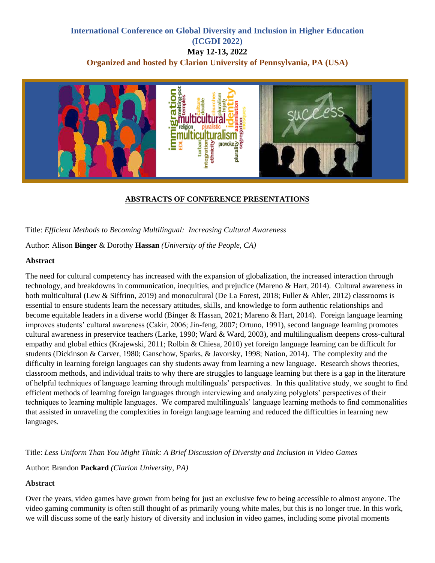## **International Conference on Global Diversity and Inclusion in Higher Education (ICGDI 2022) May 12-13, 2022 Organized and hosted by Clarion University of Pennsylvania, PA (USA)**



## **ABSTRACTS OF CONFERENCE PRESENTATIONS**

Title: *Efficient Methods to Becoming Multilingual: Increasing Cultural Awareness*

Author: Alison **Binger** & Dorothy **Hassan** *(University of the People, CA)*

#### **Abstract**

The need for cultural competency has increased with the expansion of globalization, the increased interaction through technology, and breakdowns in communication, inequities, and prejudice (Mareno & Hart, 2014). Cultural awareness in both multicultural (Lew & Siffrinn, 2019) and monocultural (De La Forest, 2018; Fuller & Ahler, 2012) classrooms is essential to ensure students learn the necessary attitudes, skills, and knowledge to form authentic relationships and become equitable leaders in a diverse world (Binger & Hassan, 2021; Mareno & Hart, 2014). Foreign language learning improves students' cultural awareness (Cakir, 2006; Jin-feng, 2007; Ortuno, 1991), second language learning promotes cultural awareness in preservice teachers (Larke, 1990; Ward & Ward, 2003), and multilingualism deepens cross-cultural empathy and global ethics (Krajewski, 2011; Rolbin & Chiesa, 2010) yet foreign language learning can be difficult for students (Dickinson & Carver, 1980; Ganschow, Sparks, & Javorsky, 1998; Nation, 2014). The complexity and the difficulty in learning foreign languages can shy students away from learning a new language. Research shows theories, classroom methods, and individual traits to why there are struggles to language learning but there is a gap in the literature of helpful techniques of language learning through multilinguals' perspectives. In this qualitative study, we sought to find efficient methods of learning foreign languages through interviewing and analyzing polyglots' perspectives of their techniques to learning multiple languages. We compared multilinguals' language learning methods to find commonalities that assisted in unraveling the complexities in foreign language learning and reduced the difficulties in learning new languages.

Title: *Less Uniform Than You Might Think: A Brief Discussion of Diversity and Inclusion in Video Games*

Author: Brandon **Packard** *(Clarion University, PA)*

#### **Abstract**

Over the years, video games have grown from being for just an exclusive few to being accessible to almost anyone. The video gaming community is often still thought of as primarily young white males, but this is no longer true. In this work, we will discuss some of the early history of diversity and inclusion in video games, including some pivotal moments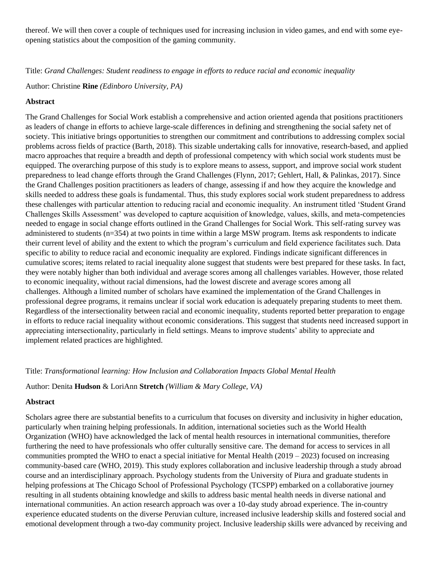thereof. We will then cover a couple of techniques used for increasing inclusion in video games, and end with some eyeopening statistics about the composition of the gaming community.

Title: *Grand Challenges: Student readiness to engage in efforts to reduce racial and economic inequality*

Author: Christine **Rine** *(Edinboro University, PA)*

#### **Abstract**

The Grand Challenges for Social Work establish a comprehensive and action oriented agenda that positions practitioners as leaders of change in efforts to achieve large-scale differences in defining and strengthening the social safety net of society. This initiative brings opportunities to strengthen our commitment and contributions to addressing complex social problems across fields of practice (Barth, 2018). This sizable undertaking calls for innovative, research-based, and applied macro approaches that require a breadth and depth of professional competency with which social work students must be equipped. The overarching purpose of this study is to explore means to assess, support, and improve social work student preparedness to lead change efforts through the Grand Challenges (Flynn, 2017; Gehlert, Hall, & Palinkas, 2017). Since the Grand Challenges position practitioners as leaders of change, assessing if and how they acquire the knowledge and skills needed to address these goals is fundamental. Thus, this study explores social work student preparedness to address these challenges with particular attention to reducing racial and economic inequality. An instrument titled 'Student Grand Challenges Skills Assessment' was developed to capture acquisition of knowledge, values, skills, and meta-competencies needed to engage in social change efforts outlined in the Grand Challenges for Social Work. This self-rating survey was administered to students (n=354) at two points in time within a large MSW program. Items ask respondents to indicate their current level of ability and the extent to which the program's curriculum and field experience facilitates such. Data specific to ability to reduce racial and economic inequality are explored. Findings indicate significant differences in cumulative scores; items related to racial inequality alone suggest that students were best prepared for these tasks. In fact, they were notably higher than both individual and average scores among all challenges variables. However, those related to economic inequality, without racial dimensions, had the lowest discrete and average scores among all challenges. Although a limited number of scholars have examined the implementation of the Grand Challenges in professional degree programs, it remains unclear if social work education is adequately preparing students to meet them. Regardless of the intersectionality between racial and economic inequality, students reported better preparation to engage in efforts to reduce racial inequality without economic considerations. This suggest that students need increased support in appreciating intersectionality, particularly in field settings. Means to improve students' ability to appreciate and implement related practices are highlighted.

#### Title: *Transformational learning: How Inclusion and Collaboration Impacts Global Mental Health*

#### Author: Denita **Hudson** & LoriAnn **Stretch** *(William & Mary College, VA)*

#### **Abstract**

Scholars agree there are substantial benefits to a curriculum that focuses on diversity and inclusivity in higher education, particularly when training helping professionals. In addition, international societies such as the World Health Organization (WHO) have acknowledged the lack of mental health resources in international communities, therefore furthering the need to have professionals who offer culturally sensitive care. The demand for access to services in all communities prompted the WHO to enact a special initiative for Mental Health  $(2019 - 2023)$  focused on increasing community-based care (WHO, 2019). This study explores collaboration and inclusive leadership through a study abroad course and an interdisciplinary approach. Psychology students from the University of Piura and graduate students in helping professions at The Chicago School of Professional Psychology (TCSPP) embarked on a collaborative journey resulting in all students obtaining knowledge and skills to address basic mental health needs in diverse national and international communities. An action research approach was over a 10-day study abroad experience. The in-country experience educated students on the diverse Peruvian culture, increased inclusive leadership skills and fostered social and emotional development through a two-day community project. Inclusive leadership skills were advanced by receiving and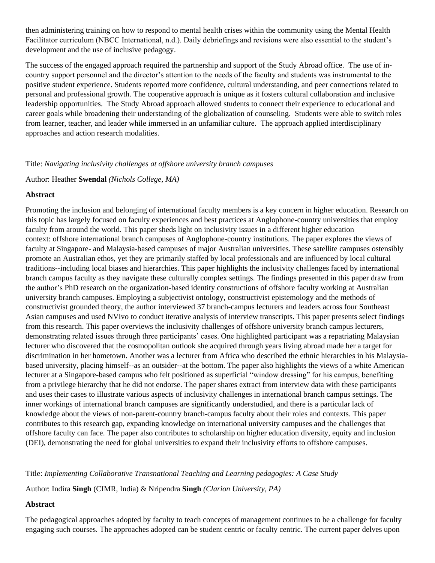then administering training on how to respond to mental health crises within the community using the Mental Health Facilitator curriculum (NBCC International, n.d.). Daily debriefings and revisions were also essential to the student's development and the use of inclusive pedagogy.

The success of the engaged approach required the partnership and support of the Study Abroad office. The use of incountry support personnel and the director's attention to the needs of the faculty and students was instrumental to the positive student experience. Students reported more confidence, cultural understanding, and peer connections related to personal and professional growth. The cooperative approach is unique as it fosters cultural collaboration and inclusive leadership opportunities. The Study Abroad approach allowed students to connect their experience to educational and career goals while broadening their understanding of the globalization of counseling. Students were able to switch roles from learner, teacher, and leader while immersed in an unfamiliar culture. The approach applied interdisciplinary approaches and action research modalities.

#### Title: *Navigating inclusivity challenges at offshore university branch campuses*

Author: Heather **Swendal** *(Nichols College, MA)*

#### **Abstract**

Promoting the inclusion and belonging of international faculty members is a key concern in higher education. Research on this topic has largely focused on faculty experiences and best practices at Anglophone-country universities that employ faculty from around the world. This paper sheds light on inclusivity issues in a different higher education context: offshore international branch campuses of Anglophone-country institutions. The paper explores the views of faculty at Singapore- and Malaysia-based campuses of major Australian universities. These satellite campuses ostensibly promote an Australian ethos, yet they are primarily staffed by local professionals and are influenced by local cultural traditions--including local biases and hierarchies. This paper highlights the inclusivity challenges faced by international branch campus faculty as they navigate these culturally complex settings. The findings presented in this paper draw from the author's PhD research on the organization-based identity constructions of offshore faculty working at Australian university branch campuses. Employing a subjectivist ontology, constructivist epistemology and the methods of constructivist grounded theory, the author interviewed 37 branch-campus lecturers and leaders across four Southeast Asian campuses and used NVivo to conduct iterative analysis of interview transcripts. This paper presents select findings from this research. This paper overviews the inclusivity challenges of offshore university branch campus lecturers, demonstrating related issues through three participants' cases. One highlighted participant was a repatriating Malaysian lecturer who discovered that the cosmopolitan outlook she acquired through years living abroad made her a target for discrimination in her hometown. Another was a lecturer from Africa who described the ethnic hierarchies in his Malaysiabased university, placing himself--as an outsider--at the bottom. The paper also highlights the views of a white American lecturer at a Singapore-based campus who felt positioned as superficial "window dressing" for his campus, benefiting from a privilege hierarchy that he did not endorse. The paper shares extract from interview data with these participants and uses their cases to illustrate various aspects of inclusivity challenges in international branch campus settings. The inner workings of international branch campuses are significantly understudied, and there is a particular lack of knowledge about the views of non-parent-country branch-campus faculty about their roles and contexts. This paper contributes to this research gap, expanding knowledge on international university campuses and the challenges that offshore faculty can face. The paper also contributes to scholarship on higher education diversity, equity and inclusion (DEI), demonstrating the need for global universities to expand their inclusivity efforts to offshore campuses.

Title: *Implementing Collaborative Transnational Teaching and Learning pedagogies: A Case Study*

Author: Indira **Singh** (CIMR, India) & Nripendra **Singh** *(Clarion University, PA)*

### **Abstract**

The pedagogical approaches adopted by faculty to teach concepts of management continues to be a challenge for faculty engaging such courses. The approaches adopted can be student centric or faculty centric. The current paper delves upon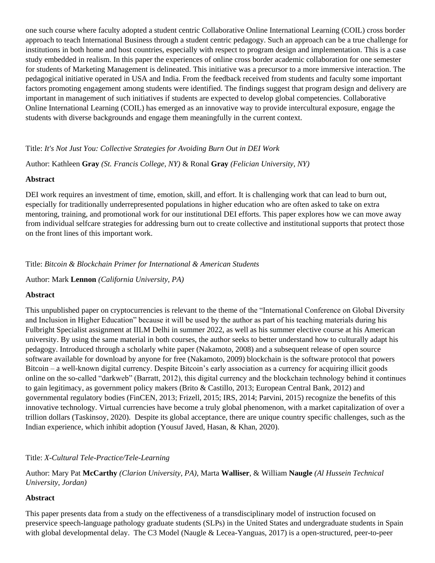one such course where faculty adopted a student centric Collaborative Online International Learning (COIL) cross border approach to teach International Business through a student centric pedagogy. Such an approach can be a true challenge for institutions in both home and host countries, especially with respect to program design and implementation. This is a case study embedded in realism. In this paper the experiences of online cross border academic collaboration for one semester for students of Marketing Management is delineated. This initiative was a precursor to a more immersive interaction. The pedagogical initiative operated in USA and India. From the feedback received from students and faculty some important factors promoting engagement among students were identified. The findings suggest that program design and delivery are important in management of such initiatives if students are expected to develop global competencies. Collaborative Online International Learning (COIL) has emerged as an innovative way to provide intercultural exposure, engage the students with diverse backgrounds and engage them meaningfully in the current context.

## Title: *It's Not Just You: Collective Strategies for Avoiding Burn Out in DEI Work*

Author: Kathleen **Gray** *(St. Francis College, NY)* & Ronal **Gray** *(Felician University, NY)*

### **Abstract**

DEI work requires an investment of time, emotion, skill, and effort. It is challenging work that can lead to burn out, especially for traditionally underrepresented populations in higher education who are often asked to take on extra mentoring, training, and promotional work for our institutional DEI efforts. This paper explores how we can move away from individual selfcare strategies for addressing burn out to create collective and institutional supports that protect those on the front lines of this important work.

## Title: *Bitcoin & Blockchain Primer for International & American Students*

Author: Mark **Lennon** *(California University, PA)*

### **Abstract**

This unpublished paper on cryptocurrencies is relevant to the theme of the "International Conference on Global Diversity and Inclusion in Higher Education" because it will be used by the author as part of his teaching materials during his Fulbright Specialist assignment at IILM Delhi in summer 2022, as well as his summer elective course at his American university. By using the same material in both courses, the author seeks to better understand how to culturally adapt his pedagogy. Introduced through a scholarly white paper (Nakamoto, 2008) and a subsequent release of open source software available for download by anyone for free (Nakamoto, 2009) blockchain is the software protocol that powers Bitcoin – a well-known digital currency. Despite Bitcoin's early association as a currency for acquiring illicit goods online on the so-called "darkweb" (Barratt, 2012), this digital currency and the blockchain technology behind it continues to gain legitimacy, as government policy makers (Brito & Castillo, 2013; European Central Bank, 2012) and governmental regulatory bodies (FinCEN, 2013; Frizell, 2015; IRS, 2014; Parvini, 2015) recognize the benefits of this innovative technology. Virtual currencies have become a truly global phenomenon, with a market capitalization of over a trillion dollars (Taskinsoy, 2020). Despite its global acceptance, there are unique country specific challenges, such as the Indian experience, which inhibit adoption (Yousuf Javed, Hasan, & Khan, 2020).

## Title: *X-Cultural Tele-Practice/Tele-Learning*

Author: Mary Pat **McCarthy** *(Clarion University, PA)*, Marta **Walliser**, & William **Naugle** *(Al Hussein Technical University, Jordan)*

### **Abstract**

This paper presents data from a study on the effectiveness of a transdisciplinary model of instruction focused on preservice speech-language pathology graduate students (SLPs) in the United States and undergraduate students in Spain with global developmental delay. The C3 Model (Naugle & Lecea-Yanguas, 2017) is a open-structured, peer-to-peer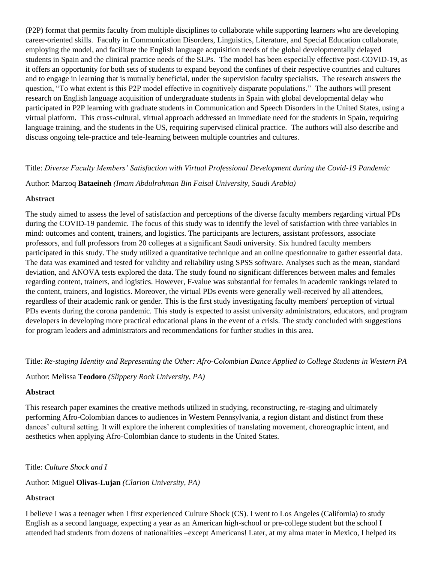(P2P) format that permits faculty from multiple disciplines to collaborate while supporting learners who are developing career-oriented skills. Faculty in Communication Disorders, Linguistics, Literature, and Special Education collaborate, employing the model, and facilitate the English language acquisition needs of the global developmentally delayed students in Spain and the clinical practice needs of the SLPs. The model has been especially effective post-COVID-19, as it offers an opportunity for both sets of students to expand beyond the confines of their respective countries and cultures and to engage in learning that is mutually beneficial, under the supervision faculty specialists. The research answers the question, "To what extent is this P2P model effective in cognitively disparate populations." The authors will present research on English language acquisition of undergraduate students in Spain with global developmental delay who participated in P2P learning with graduate students in Communication and Speech Disorders in the United States, using a virtual platform. This cross-cultural, virtual approach addressed an immediate need for the students in Spain, requiring language training, and the students in the US, requiring supervised clinical practice. The authors will also describe and discuss ongoing tele-practice and tele-learning between multiple countries and cultures.

### Title: *Diverse Faculty Members' Satisfaction with Virtual Professional Development during the Covid-19 Pandemic*

Author: Marzoq **Bataeineh** *(Imam Abdulrahman Bin Faisal University, Saudi Arabia)*

#### **Abstract**

The study aimed to assess the level of satisfaction and perceptions of the diverse faculty members regarding virtual PDs during the COVID-19 pandemic. The focus of this study was to identify the level of satisfaction with three variables in mind: outcomes and content, trainers, and logistics. The participants are lecturers, assistant professors, associate professors, and full professors from 20 colleges at a significant Saudi university. Six hundred faculty members participated in this study. The study utilized a quantitative technique and an online questionnaire to gather essential data. The data was examined and tested for validity and reliability using SPSS software. Analyses such as the mean, standard deviation, and ANOVA tests explored the data. The study found no significant differences between males and females regarding content, trainers, and logistics. However, F-value was substantial for females in academic rankings related to the content, trainers, and logistics. Moreover, the virtual PDs events were generally well-received by all attendees, regardless of their academic rank or gender. This is the first study investigating faculty members' perception of virtual PDs events during the corona pandemic. This study is expected to assist university administrators, educators, and program developers in developing more practical educational plans in the event of a crisis. The study concluded with suggestions for program leaders and administrators and recommendations for further studies in this area.

### Title: *Re-staging Identity and Representing the Other: Afro-Colombian Dance Applied to College Students in Western PA*

Author: Melissa **Teodoro** *(Slippery Rock University, PA)*

### **Abstract**

This research paper examines the creative methods utilized in studying, reconstructing, re-staging and ultimately performing Afro-Colombian dances to audiences in Western Pennsylvania, a region distant and distinct from these dances' cultural setting. It will explore the inherent complexities of translating movement, choreographic intent, and aesthetics when applying Afro-Colombian dance to students in the United States.

Title: *Culture Shock and I* 

### Author: Miguel **Olivas-Lujan** *(Clarion University, PA)*

### **Abstract**

I believe I was a teenager when I first experienced Culture Shock (CS). I went to Los Angeles (California) to study English as a second language, expecting a year as an American high-school or pre-college student but the school I attended had students from dozens of nationalities –except Americans! Later, at my alma mater in Mexico, I helped its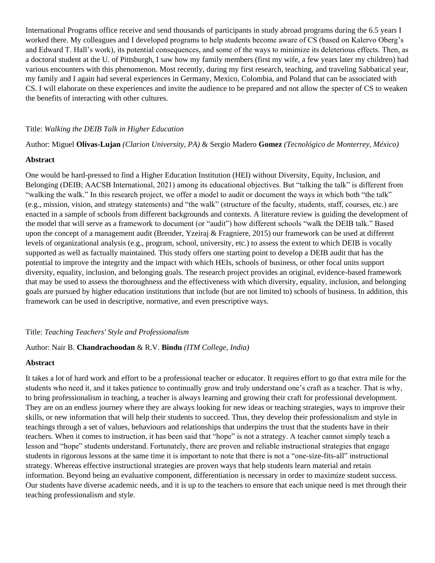International Programs office receive and send thousands of participants in study abroad programs during the 6.5 years I worked there. My colleagues and I developed programs to help students become aware of CS (based on Kalervo Oberg's and Edward T. Hall's work), its potential consequences, and some of the ways to minimize its deleterious effects. Then, as a doctoral student at the U. of Pittsburgh, I saw how my family members (first my wife, a few years later my children) had various encounters with this phenomenon. Most recently, during my first research, teaching, and traveling Sabbatical year, my family and I again had several experiences in Germany, Mexico, Colombia, and Poland that can be associated with CS. I will elaborate on these experiences and invite the audience to be prepared and not allow the specter of CS to weaken the benefits of interacting with other cultures.

#### Title: *Walking the DEIB Talk in Higher Education*

Author: Miguel **Olivas-Lujan** *(Clarion University, PA)* & Sergio Madero **Gomez** *(Tecnológico de Monterrey, México)*

### **Abstract**

One would be hard-pressed to find a Higher Education Institution (HEI) without Diversity, Equity, Inclusion, and Belonging (DEIB; AACSB International, 2021) among its educational objectives. But "talking the talk" is different from "walking the walk." In this research project, we offer a model to audit or document the ways in which both "the talk" (e.g., mission, vision, and strategy statements) and "the walk" (structure of the faculty, students, staff, courses, etc.) are enacted in a sample of schools from different backgrounds and contexts. A literature review is guiding the development of the model that will serve as a framework to document (or "audit") how different schools "walk the DEIB talk." Based upon the concept of a management audit (Brender, Yzeiraj & Fragniere, 2015) our framework can be used at different levels of organizational analysis (e.g., program, school, university, etc.) to assess the extent to which DEIB is vocally supported as well as factually maintained. This study offers one starting point to develop a DEIB audit that has the potential to improve the integrity and the impact with which HEIs, schools of business, or other focal units support diversity, equality, inclusion, and belonging goals. The research project provides an original, evidence-based framework that may be used to assess the thoroughness and the effectiveness with which diversity, equality, inclusion, and belonging goals are pursued by higher education institutions that include (but are not limited to) schools of business. In addition, this framework can be used in descriptive, normative, and even prescriptive ways.

#### Title: *Teaching Teachers' Style and Professionalism*

## Author: Nair B. **Chandrachoodan** & R.V. **Bindu** *(ITM College, India)*

#### **Abstract**

It takes a lot of hard work and effort to be a professional teacher or educator. It requires effort to go that extra mile for the students who need it, and it takes patience to continually grow and truly understand one's craft as a teacher. That is why, to bring professionalism in teaching, a teacher is always learning and growing their craft for professional development. They are on an endless journey where they are always looking for new ideas or teaching strategies, ways to improve their skills, or new information that will help their students to succeed. Thus, they develop their professionalism and style in teachings through a set of values, behaviours and relationships that underpins the trust that the students have in their teachers. When it comes to instruction, it has been said that "hope" is not a strategy. A teacher cannot simply teach a lesson and "hope" students understand. Fortunately, there are proven and reliable instructional strategies that engage students in rigorous lessons at the same time it is important to note that there is not a "one-size-fits-all" instructional strategy. Whereas effective instructional strategies are proven ways that help students learn material and retain information. Beyond being an evaluative component, differentiation is necessary in order to maximize student success. Our students have diverse academic needs, and it is up to the teachers to ensure that each unique need is met through their teaching professionalism and style.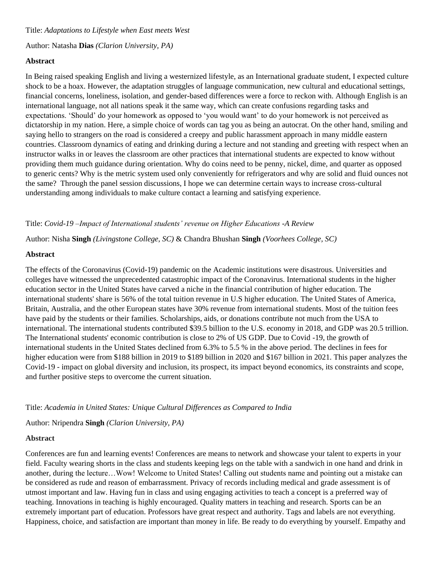Title: *Adaptations to Lifestyle when East meets West* 

Author: Natasha **Dias** *(Clarion University, PA)*

### **Abstract**

In Being raised speaking English and living a westernized lifestyle, as an International graduate student, I expected culture shock to be a hoax. However, the adaptation struggles of language communication, new cultural and educational settings, financial concerns, loneliness, isolation, and gender-based differences were a force to reckon with. Although English is an international language, not all nations speak it the same way, which can create confusions regarding tasks and expectations. 'Should' do your homework as opposed to 'you would want' to do your homework is not perceived as dictatorship in my nation. Here, a simple choice of words can tag you as being an autocrat. On the other hand, smiling and saying hello to strangers on the road is considered a creepy and public harassment approach in many middle eastern countries. Classroom dynamics of eating and drinking during a lecture and not standing and greeting with respect when an instructor walks in or leaves the classroom are other practices that international students are expected to know without providing them much guidance during orientation. Why do coins need to be penny, nickel, dime, and quarter as opposed to generic cents? Why is the metric system used only conveniently for refrigerators and why are solid and fluid ounces not the same? Through the panel session discussions, I hope we can determine certain ways to increase cross-cultural understanding among individuals to make culture contact a learning and satisfying experience.

Title: *Covid-19 –Impact of International students' revenue on Higher Educations -A Review*

Author: Nisha **Singh** *(Livingstone College, SC)* & Chandra Bhushan **Singh** *(Voorhees College, SC)*

### **Abstract**

The effects of the Coronavirus (Covid-19) pandemic on the Academic institutions were disastrous. Universities and colleges have witnessed the unprecedented catastrophic impact of the Coronavirus. International students in the higher education sector in the United States have carved a niche in the financial contribution of higher education. The international students' share is 56% of the total tuition revenue in U.S higher education. The United States of America, Britain, Australia, and the other European states have 30% revenue from international students. Most of the tuition fees have paid by the students or their families. Scholarships, aids, or donations contribute not much from the USA to international. The international students contributed \$39.5 billion to the U.S. economy in 2018, and GDP was 20.5 trillion. The International students' economic contribution is close to 2% of US GDP. Due to Covid -19, the growth of international students in the United States declined from 6.3% to 5.5 % in the above period. The declines in fees for higher education were from \$188 billion in 2019 to \$189 billion in 2020 and \$167 billion in 2021. This paper analyzes the Covid-19 - impact on global diversity and inclusion, its prospect, its impact beyond economics, its constraints and scope, and further positive steps to overcome the current situation.

Title: *Academia in United States: Unique Cultural Differences as Compared to India* 

Author: Nripendra **Singh** *(Clarion University, PA)*

### **Abstract**

Conferences are fun and learning events! Conferences are means to network and showcase your talent to experts in your field. Faculty wearing shorts in the class and students keeping legs on the table with a sandwich in one hand and drink in another, during the lecture…Wow! Welcome to United States! Calling out students name and pointing out a mistake can be considered as rude and reason of embarrassment. Privacy of records including medical and grade assessment is of utmost important and law. Having fun in class and using engaging activities to teach a concept is a preferred way of teaching. Innovations in teaching is highly encouraged. Quality matters in teaching and research. Sports can be an extremely important part of education. Professors have great respect and authority. Tags and labels are not everything. Happiness, choice, and satisfaction are important than money in life. Be ready to do everything by yourself. Empathy and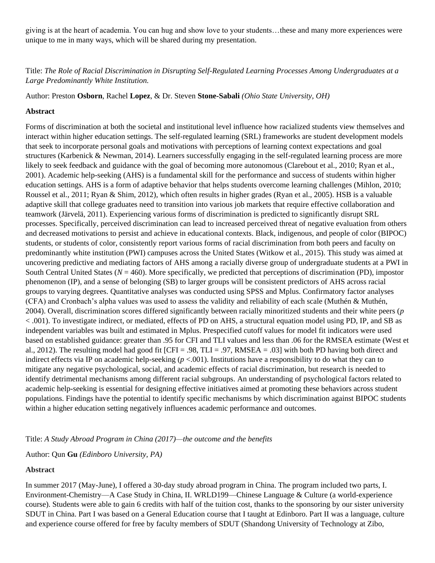giving is at the heart of academia. You can hug and show love to your students…these and many more experiences were unique to me in many ways, which will be shared during my presentation.

## Title: *The Role of Racial Discrimination in Disrupting Self-Regulated Learning Processes Among Undergraduates at a Large Predominantly White Institution.*

Author: Preston **Osborn**, Rachel **Lopez**, & Dr. Steven **Stone-Sabali** *(Ohio State University, OH)*

## **Abstract**

Forms of discrimination at both the societal and institutional level influence how racialized students view themselves and interact within higher education settings. The self-regulated learning (SRL) frameworks are student development models that seek to incorporate personal goals and motivations with perceptions of learning context expectations and goal structures (Karbenick & Newman, 2014). Learners successfully engaging in the self-regulated learning process are more likely to seek feedback and guidance with the goal of becoming more autonomous (Clarebout et al., 2010; Ryan et al., 2001). Academic help-seeking (AHS) is a fundamental skill for the performance and success of students within higher education settings. AHS is a form of adaptive behavior that helps students overcome learning challenges (Mihlon, 2010; Roussel et al., 2011; Ryan & Shim, 2012), which often results in higher grades (Ryan et al., 2005). HSB is a valuable adaptive skill that college graduates need to transition into various job markets that require effective collaboration and teamwork (Järvelä, 2011). Experiencing various forms of discrimination is predicted to significantly disrupt SRL processes. Specifically, perceived discrimination can lead to increased perceived threat of negative evaluation from others and decreased motivations to persist and achieve in educational contexts. Black, indigenous, and people of color (BIPOC) students, or students of color, consistently report various forms of racial discrimination from both peers and faculty on predominantly white institution (PWI) campuses across the United States (Witkow et al., 2015). This study was aimed at uncovering predictive and mediating factors of AHS among a racially diverse group of undergraduate students at a PWI in South Central United States  $(N = 460)$ . More specifically, we predicted that perceptions of discrimination (PD), impostor phenomenon (IP), and a sense of belonging (SB) to larger groups will be consistent predictors of AHS across racial groups to varying degrees. Quantitative analyses was conducted using SPSS and Mplus. Confirmatory factor analyses (CFA) and Cronbach's alpha values was used to assess the validity and reliability of each scale (Muthén & Muthén, 2004). Overall, discrimination scores differed significantly between racially minoritized students and their white peers (*p*  < .001). To investigate indirect, or mediated, effects of PD on AHS, a structural equation model using PD, IP, and SB as independent variables was built and estimated in Mplus. Prespecified cutoff values for model fit indicators were used based on established guidance: greater than .95 for CFI and TLI values and less than .06 for the RMSEA estimate (West et al., 2012). The resulting model had good fit  $[CFI = .98, TLI = .97, RMSEA = .03]$  with both PD having both direct and indirect effects via IP on academic help-seeking ( $p < .001$ ). Institutions have a responsibility to do what they can to mitigate any negative psychological, social, and academic effects of racial discrimination, but research is needed to identify detrimental mechanisms among different racial subgroups. An understanding of psychological factors related to academic help-seeking is essential for designing effective initiatives aimed at promoting these behaviors across student populations. Findings have the potential to identify specific mechanisms by which discrimination against BIPOC students within a higher education setting negatively influences academic performance and outcomes.

### Title: *A Study Abroad Program in China (2017)—the outcome and the benefits*

Author: Qun **Gu** *(Edinboro University, PA)*

### **Abstract**

In summer 2017 (May-June), I offered a 30-day study abroad program in China. The program included two parts, I. Environment-Chemistry—A Case Study in China, II. WRLD199—Chinese Language & Culture (a world-experience course). Students were able to gain 6 credits with half of the tuition cost, thanks to the sponsoring by our sister university SDUT in China. Part I was based on a General Education course that I taught at Edinboro. Part II was a language, culture and experience course offered for free by faculty members of SDUT (Shandong University of Technology at Zibo,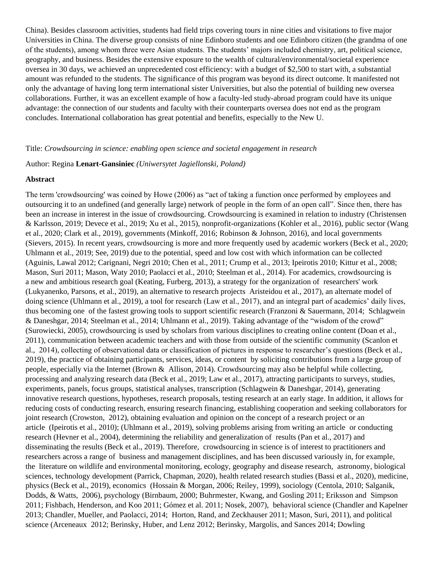China). Besides classroom activities, students had field trips covering tours in nine cities and visitations to five major Universities in China. The diverse group consists of nine Edinboro students and one Edinboro citizen (the grandma of one of the students), among whom three were Asian students. The students' majors included chemistry, art, political science, geography, and business. Besides the extensive exposure to the wealth of cultural/environmental/societal experience oversea in 30 days, we achieved an unprecedented cost efficiency: with a budget of \$2,500 to start with, a substantial amount was refunded to the students. The significance of this program was beyond its direct outcome. It manifested not only the advantage of having long term international sister Universities, but also the potential of building new oversea collaborations. Further, it was an excellent example of how a faculty-led study-abroad program could have its unique advantage: the connection of our students and faculty with their counterparts oversea does not end as the program concludes. International collaboration has great potential and benefits, especially to the New U.

#### Title: *Crowdsourcing in science: enabling open science and societal engagement in research*

#### Author: Regina **Lenart-Gansiniec** *(Uniwersytet Jagiellonski, Poland)*

#### **Abstract**

The term 'crowdsourcing' was coined by Howe (2006) as "act of taking a function once performed by employees and outsourcing it to an undefined (and generally large) network of people in the form of an open call". Since then, there has been an increase in interest in the issue of crowdsourcing. Crowdsourcing is examined in relation to industry (Christensen & Karlsson, 2019; Devece et al., 2019; Xu et al., 2015), nonprofit-organizations (Kohler et al., 2016), public sector (Wang et al., 2020; Clark et al., 2019), governments (Minkoff, 2016; Robinson & Johnson, 2016), and local governments (Sievers, 2015). In recent years, crowdsourcing is more and more frequently used by academic workers (Beck et al., 2020; Uhlmann et al., 2019; See, 2019) due to the potential, speed and low cost with which information can be collected (Aguinis, Lawal 2012; Carignani, Negri 2010; Chen et al., 2011; Crump et al., 2013; Ipeirotis 2010; Kittur et al., 2008; Mason, Suri 2011; Mason, Waty 2010; Paolacci et al., 2010; Steelman et al., 2014). For academics, crowdsourcing is a new and ambitious research goal (Keating, Furberg, 2013), a strategy for the organization of researchers' work (Lukyanenko, Parsons, et al., 2019), an alternative to research projects Aristeidou et al., 2017), an alternate model of doing science (Uhlmann et al., 2019), a tool for research (Law et al., 2017), and an integral part of academics' daily lives, thus becoming one of the fastest growing tools to support scientific research (Franzoni & Sauermann, 2014; Schlagwein & Daneshgar, 2014; Steelman et al., 2014; Uhlmann et al., 2019). Taking advantage of the "wisdom of the crowd" (Surowiecki, 2005), crowdsourcing is used by scholars from various disciplines to creating online content (Doan et al., 2011), communication between academic teachers and with those from outside of the scientific community (Scanlon et al., 2014), collecting of observational data or classification of pictures in response to researcher's questions (Beck et al., 2019), the practice of obtaining participants, services, ideas, or content by soliciting contributions from a large group of people, especially via the Internet (Brown & Allison, 2014). Crowdsourcing may also be helpful while collecting, processing and analyzing research data (Beck et al., 2019; Law et al., 2017), attracting participants to surveys, studies, experiments, panels, focus groups, statistical analyses, transcription (Schlagwein & Daneshgar, 2014), generating innovative research questions, hypotheses, research proposals, testing research at an early stage. In addition, it allows for reducing costs of conducting research, ensuring research financing, establishing cooperation and seeking collaborators for joint research (Crowston, 2012), obtaining evaluation and opinion on the concept of a research project or an article (Ipeirotis et al., 2010); (Uhlmann et al., 2019), solving problems arising from writing an article or conducting research (Hevner et al., 2004), determining the reliability and generalization of results (Pan et al., 2017) and disseminating the results (Beck et al., 2019). Therefore, crowdsourcing in science is of interest to practitioners and researchers across a range of business and management disciplines, and has been discussed variously in, for example, the literature on wildlife and environmental monitoring, ecology, geography and disease research, astronomy, biological sciences, technology development (Parrick, Chapman, 2020), health related research studies (Bassi et al., 2020), medicine, physics (Beck et al., 2019), economics (Hossain & Morgan, 2006; Reiley, 1999), sociology (Centola, 2010; Salganik, Dodds, & Watts, 2006), psychology (Birnbaum, 2000; Buhrmester, Kwang, and Gosling 2011; Eriksson and Simpson 2011; Fishbach, Henderson, and Koo 2011; Gómez et al. 2011; Nosek, 2007), behavioral science (Chandler and Kapelner 2013; Chandler, Mueller, and Paolacci, 2014; Horton, Rand, and Zeckhauser 2011; Mason, Suri, 2011), and political science (Arceneaux 2012; Berinsky, Huber, and Lenz 2012; Berinsky, Margolis, and Sances 2014; Dowling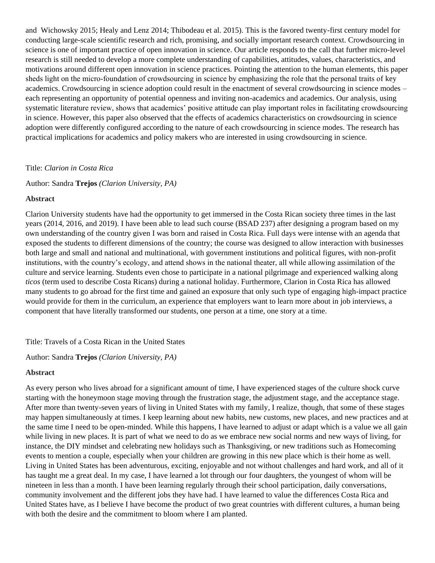and Wichowsky 2015; Healy and Lenz 2014; Thibodeau et al. 2015). This is the favored twenty-first century model for conducting large-scale scientific research and rich, promising, and socially important research context. Crowdsourcing in science is one of important practice of open innovation in science. Our article responds to the call that further micro-level research is still needed to develop a more complete understanding of capabilities, attitudes, values, characteristics, and motivations around different open innovation in science practices. Pointing the attention to the human elements, this paper sheds light on the micro‐foundation of crowdsourcing in science by emphasizing the role that the personal traits of key academics. Crowdsourcing in science adoption could result in the enactment of several crowdsourcing in science modes – each representing an opportunity of potential openness and inviting non-academics and academics. Our analysis, using systematic literature review, shows that academics' positive attitude can play important roles in facilitating crowdsourcing in science. However, this paper also observed that the effects of academics characteristics on crowdsourcing in science adoption were differently configured according to the nature of each crowdsourcing in science modes. The research has practical implications for academics and policy makers who are interested in using crowdsourcing in science.

#### Title: *Clarion in Costa Rica*

Author: Sandra **Trejos** *(Clarion University, PA)*

#### **Abstract**

Clarion University students have had the opportunity to get immersed in the Costa Rican society three times in the last years (2014, 2016, and 2019). I have been able to lead such course (BSAD 237) after designing a program based on my own understanding of the country given I was born and raised in Costa Rica. Full days were intense with an agenda that exposed the students to different dimensions of the country; the course was designed to allow interaction with businesses both large and small and national and multinational, with government institutions and political figures, with non-profit institutions, with the country's ecology, and attend shows in the national theater, all while allowing assimilation of the culture and service learning. Students even chose to participate in a national pilgrimage and experienced walking along *ticos* (term used to describe Costa Ricans) during a national holiday. Furthermore, Clarion in Costa Rica has allowed many students to go abroad for the first time and gained an exposure that only such type of engaging high-impact practice would provide for them in the curriculum, an experience that employers want to learn more about in job interviews, a component that have literally transformed our students, one person at a time, one story at a time.

### Title: Travels of a Costa Rican in the United States

Author: Sandra **Trejos** *(Clarion University, PA)*

### **Abstract**

As every person who lives abroad for a significant amount of time, I have experienced stages of the culture shock curve starting with the honeymoon stage moving through the frustration stage, the adjustment stage, and the acceptance stage. After more than twenty-seven years of living in United States with my family, I realize, though, that some of these stages may happen simultaneously at times. I keep learning about new habits, new customs, new places, and new practices and at the same time I need to be open-minded. While this happens, I have learned to adjust or adapt which is a value we all gain while living in new places. It is part of what we need to do as we embrace new social norms and new ways of living, for instance, the DIY mindset and celebrating new holidays such as Thanksgiving, or new traditions such as Homecoming events to mention a couple, especially when your children are growing in this new place which is their home as well. Living in United States has been adventurous, exciting, enjoyable and not without challenges and hard work, and all of it has taught me a great deal. In my case, I have learned a lot through our four daughters, the youngest of whom will be nineteen in less than a month. I have been learning regularly through their school participation, daily conversations, community involvement and the different jobs they have had. I have learned to value the differences Costa Rica and United States have, as I believe I have become the product of two great countries with different cultures, a human being with both the desire and the commitment to bloom where I am planted.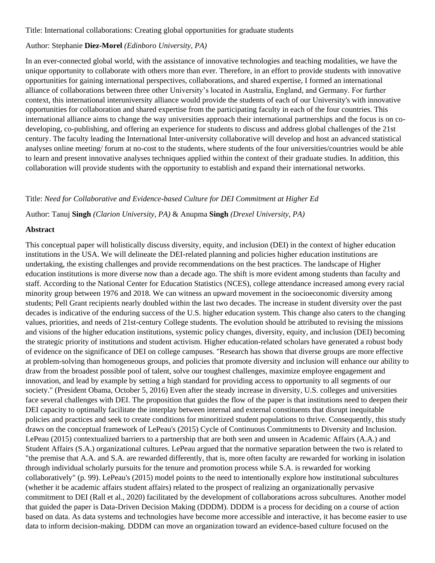Title: International collaborations: Creating global opportunities for graduate students

### Author: Stephanie **Diez-Morel** *(Edinboro University, PA)*

In an ever-connected global world, with the assistance of innovative technologies and teaching modalities, we have the unique opportunity to collaborate with others more than ever. Therefore, in an effort to provide students with innovative opportunities for gaining international perspectives, collaborations, and shared expertise, I formed an international alliance of collaborations between three other University's located in Australia, England, and Germany. For further context, this international interuniversity alliance would provide the students of each of our University's with innovative opportunities for collaboration and shared expertise from the participating faculty in each of the four countries. This international alliance aims to change the way universities approach their international partnerships and the focus is on codeveloping, co-publishing, and offering an experience for students to discuss and address global challenges of the 21st century. The faculty leading the International Inter-university collaborative will develop and host an advanced statistical analyses online meeting/ forum at no-cost to the students, where students of the four universities/countries would be able to learn and present innovative analyses techniques applied within the context of their graduate studies. In addition, this collaboration will provide students with the opportunity to establish and expand their international networks.

### Title: *Need for Collaborative and Evidence-based Culture for DEI Commitment at Higher Ed*

Author: Tanuj **Singh** *(Clarion University, PA)* & Anupma **Singh** *(Drexel University, PA)*

### **Abstract**

This conceptual paper will holistically discuss diversity, equity, and inclusion (DEI) in the context of higher education institutions in the USA. We will delineate the DEI-related planning and policies higher education institutions are undertaking, the existing challenges and provide recommendations on the best practices. The landscape of Higher education institutions is more diverse now than a decade ago. The shift is more evident among students than faculty and staff. According to the National Center for Education Statistics (NCES), college attendance increased among every racial minority group between 1976 and 2018. We can witness an upward movement in the socioeconomic diversity among students; Pell Grant recipients nearly doubled within the last two decades. The increase in student diversity over the past decades is indicative of the enduring success of the U.S. higher education system. This change also caters to the changing values, priorities, and needs of 21st-century College students. The evolution should be attributed to revising the missions and visions of the higher education institutions, systemic policy changes, diversity, equity, and inclusion (DEI) becoming the strategic priority of institutions and student activism. Higher education-related scholars have generated a robust body of evidence on the significance of DEI on college campuses. "Research has shown that diverse groups are more effective at problem-solving than homogeneous groups, and policies that promote diversity and inclusion will enhance our ability to draw from the broadest possible pool of talent, solve our toughest challenges, maximize employee engagement and innovation, and lead by example by setting a high standard for providing access to opportunity to all segments of our society." (President Obama, October 5, 2016) Even after the steady increase in diversity, U.S. colleges and universities face several challenges with DEI. The proposition that guides the flow of the paper is that institutions need to deepen their DEI capacity to optimally facilitate the interplay between internal and external constituents that disrupt inequitable policies and practices and seek to create conditions for minoritized student populations to thrive. Consequently, this study draws on the conceptual framework of LePeau's (2015) Cycle of Continuous Commitments to Diversity and Inclusion. LePeau (2015) contextualized barriers to a partnership that are both seen and unseen in Academic Affairs (A.A.) and Student Affairs (S.A.) organizational cultures. LePeau argued that the normative separation between the two is related to "the premise that A.A. and S.A. are rewarded differently, that is, more often faculty are rewarded for working in isolation through individual scholarly pursuits for the tenure and promotion process while S.A. is rewarded for working collaboratively" (p. 99). LePeau's (2015) model points to the need to intentionally explore how institutional subcultures (whether it be academic affairs student affairs) related to the prospect of realizing an organizationally pervasive commitment to DEI (Rall et al., 2020) facilitated by the development of collaborations across subcultures. Another model that guided the paper is Data-Driven Decision Making (DDDM). DDDM is a process for deciding on a course of action based on data. As data systems and technologies have become more accessible and interactive, it has become easier to use data to inform decision-making. DDDM can move an organization toward an evidence-based culture focused on the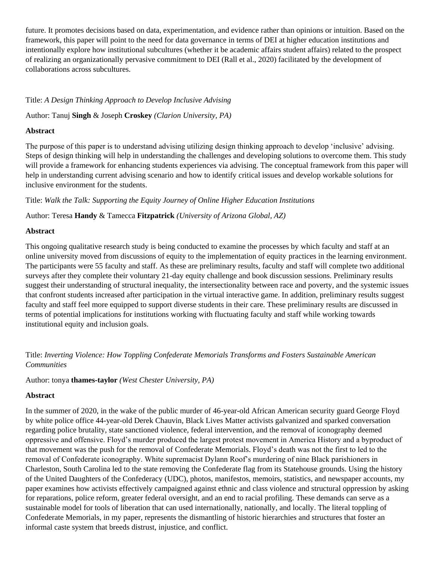future. It promotes decisions based on data, experimentation, and evidence rather than opinions or intuition. Based on the framework, this paper will point to the need for data governance in terms of DEI at higher education institutions and intentionally explore how institutional subcultures (whether it be academic affairs student affairs) related to the prospect of realizing an organizationally pervasive commitment to DEI (Rall et al., 2020) facilitated by the development of collaborations across subcultures.

Title: *A Design Thinking Approach to Develop Inclusive Advising*

Author: Tanuj **Singh** & Joseph **Croskey** *(Clarion University, PA)*

## **Abstract**

The purpose of this paper is to understand advising utilizing design thinking approach to develop 'inclusive' advising. Steps of design thinking will help in understanding the challenges and developing solutions to overcome them. This study will provide a framework for enhancing students experiences via advising. The conceptual framework from this paper will help in understanding current advising scenario and how to identify critical issues and develop workable solutions for inclusive environment for the students.

Title: *Walk the Talk: Supporting the Equity Journey of Online Higher Education Institutions*

Author: Teresa **Handy** & Tamecca **Fitzpatrick** *(University of Arizona Global, AZ)*

## **Abstract**

This ongoing qualitative research study is being conducted to examine the processes by which faculty and staff at an online university moved from discussions of equity to the implementation of equity practices in the learning environment. The participants were 55 faculty and staff. As these are preliminary results, faculty and staff will complete two additional surveys after they complete their voluntary 21-day equity challenge and book discussion sessions. Preliminary results suggest their understanding of structural inequality, the intersectionality between race and poverty, and the systemic issues that confront students increased after participation in the virtual interactive game. In addition, preliminary results suggest faculty and staff feel more equipped to support diverse students in their care. These preliminary results are discussed in terms of potential implications for institutions working with fluctuating faculty and staff while working towards institutional equity and inclusion goals.

Title: *Inverting Violence: How Toppling Confederate Memorials Transforms and Fosters Sustainable American Communities*

## Author: tonya **thames-taylor** *(West Chester University, PA)*

### **Abstract**

In the summer of 2020, in the wake of the public murder of 46-year-old African American security guard George Floyd by white police office 44-year-old Derek Chauvin, Black Lives Matter activists galvanized and sparked conversation regarding police brutality, state sanctioned violence, federal intervention, and the removal of iconography deemed oppressive and offensive. Floyd's murder produced the largest protest movement in America History and a byproduct of that movement was the push for the removal of Confederate Memorials. Floyd's death was not the first to led to the removal of Confederate iconography. White supremacist Dylann Roof's murdering of nine Black parishioners in Charleston, South Carolina led to the state removing the Confederate flag from its Statehouse grounds. Using the history of the United Daughters of the Confederacy (UDC), photos, manifestos, memoirs, statistics, and newspaper accounts, my paper examines how activists effectively campaigned against ethnic and class violence and structural oppression by asking for reparations, police reform, greater federal oversight, and an end to racial profiling. These demands can serve as a sustainable model for tools of liberation that can used internationally, nationally, and locally. The literal toppling of Confederate Memorials, in my paper, represents the dismantling of historic hierarchies and structures that foster an informal caste system that breeds distrust, injustice, and conflict.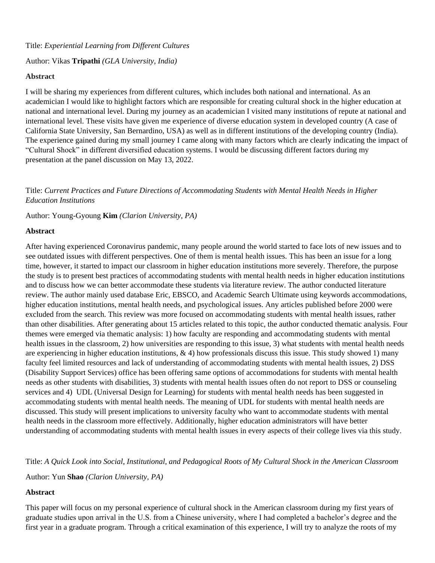## Author: Vikas **Tripathi** *(GLA University, India)*

### **Abstract**

I will be sharing my experiences from different cultures, which includes both national and international. As an academician I would like to highlight factors which are responsible for creating cultural shock in the higher education at national and international level. During my journey as an academician I visited many institutions of repute at national and international level. These visits have given me experience of diverse education system in developed country (A case of California State University, San Bernardino, USA) as well as in different institutions of the developing country (India). The experience gained during my small journey I came along with many factors which are clearly indicating the impact of "Cultural Shock" in different diversified education systems. I would be discussing different factors during my presentation at the panel discussion on May 13, 2022.

Title: *Current Practices and Future Directions of Accommodating Students with Mental Health Needs in Higher Education Institutions*

Author: Young-Gyoung **Kim** *(Clarion University, PA)*

## **Abstract**

After having experienced Coronavirus pandemic, many people around the world started to face lots of new issues and to see outdated issues with different perspectives. One of them is mental health issues. This has been an issue for a long time, however, it started to impact our classroom in higher education institutions more severely. Therefore, the purpose the study is to present best practices of accommodating students with mental health needs in higher education institutions and to discuss how we can better accommodate these students via literature review. The author conducted literature review. The author mainly used database Eric, EBSCO, and Academic Search Ultimate using keywords accommodations, higher education institutions, mental health needs, and psychological issues. Any articles published before 2000 were excluded from the search. This review was more focused on accommodating students with mental health issues, rather than other disabilities. After generating about 15 articles related to this topic, the author conducted thematic analysis. Four themes were emerged via thematic analysis: 1) how faculty are responding and accommodating students with mental health issues in the classroom, 2) how universities are responding to this issue, 3) what students with mental health needs are experiencing in higher education institutions,  $\& 4$ ) how professionals discuss this issue. This study showed 1) many faculty feel limited resources and lack of understanding of accommodating students with mental health issues, 2) DSS (Disability Support Services) office has been offering same options of accommodations for students with mental health needs as other students with disabilities, 3) students with mental health issues often do not report to DSS or counseling services and 4) UDL (Universal Design for Learning) for students with mental health needs has been suggested in accommodating students with mental health needs. The meaning of UDL for students with mental health needs are discussed. This study will present implications to university faculty who want to accommodate students with mental health needs in the classroom more effectively. Additionally, higher education administrators will have better understanding of accommodating students with mental health issues in every aspects of their college lives via this study.

Title: *A Quick Look into Social, Institutional, and Pedagogical Roots of My Cultural Shock in the American Classroom*

Author: Yun **Shao** *(Clarion University, PA)*

## **Abstract**

This paper will focus on my personal experience of cultural shock in the American classroom during my first years of graduate studies upon arrival in the U.S. from a Chinese university, where I had completed a bachelor's degree and the first year in a graduate program. Through a critical examination of this experience, I will try to analyze the roots of my